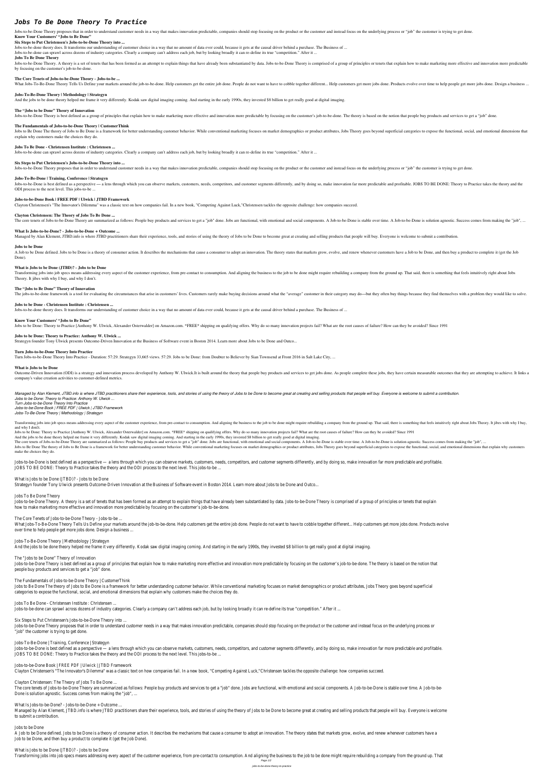# *Jobs To Be Done Theory To Practice*

Jobs-to-be-Done Theory proposes that in order to understand customer needs in a way that makes innovation predictable, companies should stop focusing on the product or the customer and instead focus on the underlying proce **Know Your Customers' "Jobs to Be Done"**

# **Six Steps to Put Christensen's Jobs-to-be-Done Theory into ...**

Jobs-to-be-done theory does. It transforms our understanding of customer choice in a way that no amount of data ever could, because it gets at the causal driver behind a purchase. The Business of ...

Jobs-to-be-done can sprawl across dozens of industry categories. Clearly a company can't address each job, but by looking broadly it can re-define its true "competition." After it ...

Jobs-to-be-Done Theory. A theory is a set of tenets that has been formed as an attempt to explain things that have already been substantiated by data. Jobs-to-be-Done Theory is comprised of a group of principles or tenets by focusing on the customer's job-to-be-done.

# **Jobs To Be Done Theory**

# **The Core Tenets of Jobs-to-be-Done Theory - Jobs-to-be ...**

What Jobs-To-Be-Done Theory Tells Us Define your markets around the job-to-be-done. Help customers get the entire job done. People do not want to have to cobble together different... Help customers get more jobs done. Prod

Jobs to Be Done The theory of Jobs to Be Done is a framework for better understanding customer behavior. While conventional marketing focuses on market demographics or product attributes, Jobs Theory goes beyond superficia explain why customers make the choices they do.

# **Jobs-To-Be-Done Theory | Methodology | Strategyn**

And the jobs to be done theory helped me frame it very differently. Kodak saw digital imaging coming. And starting in the early 1990s, they invested \$8 billion to get really good at digital imaging.

Jobs-to-be-Done is best defined as a perspective — a lens through which you can observe markets, customers, needs, competitors, and customer segments differently, and by doing so, make innovation far more predictable and p ODI process to the next level. This jobs-to-be ...

# **The "Jobs to be Done" Theory of Innovation**

Jobs-to-be-Done Theory is best defined as a group of principles that explain how to make marketing more effective and innovation more predictable by focusing on the customer's job-to-be-done. The theory is based on the not

# **The Fundamentals of Jobs-to-be-Done Theory | CustomerThink**

A Job to be Done defined. Jobs to be Done is a theory of consumer action. It describes the mechanisms that cause a consumer to adopt an innovation. The theory states that markets grow, evolve, and renew whenever customers Done).

# **Jobs To Be Done - Christensen Institute : Christensen ...**

Jobs-to-be-done can sprawl across dozens of industry categories. Clearly a company can't address each job, but by looking broadly it can re-define its true "competition." After it ...

Transforming jobs into job specs means addressing every aspect of the customer experience, from pre-contact to consumption. And aligning the business to the job to be done might require rebuilding a company from the ground Theory. It jibes with why I buy, and why I don't.

# **Six Steps to Put Christensen's Jobs-to-be-Done Theory into ...**

Jobs-to-be-Done Theory proposes that in order to understand customer needs in a way that makes innovation predictable, companies should stop focusing on the product or the customer and instead focus on the underlying proce

# **Jobs-To-Be-Done | Training, Conference | Strategyn**

Outcome-Driven Innovation (ODI) is a strategy and innovation process developed by Anthony W. Ulwick.It is built around the theory that people buy products and services to get jobs done. As people complete these jobs, they company's value creation activities to customer-defined metrics.

# **Jobs-to-be-Done Book | FREE PDF | Ulwick | JTBD Framework**

Clayton Christensen's "The Innovator's Dilemma" was a classic text on how companies fail. In a new book, "Competing Against Luck,"Christensen tackles the opposite challenge: how companies succeed.

Managed by Alan Klement, JTBD info is where JTBD practitioners share their experience, tools, and stories of using the theory of Jobs to be Done to become great at creating and selling products that people will buy. Everyo *Jobs to be Done: Theory to Practice: Anthony W. Ulwick ... Turn Jobs-to-be-Done Theory Into Practice Jobs-to-be-Done Book | FREE PDF | Ulwick | JTBD Framework Jobs-To-Be-Done Theory | Methodology | Strategyn*

Transforming jobs into job specs means addressing every aspect of the customer experience, from pre-contact to consumption. And aligning the business to the job to be done might require rebuilding a company from the ground and why I don<sup>[1]</sup>t.

Jobs to be Done: Theory to Practice [Anthony W. Ulwick, Alexander Osterwalder] on Amazon.com. \*FREE\* shipping on qualifying offers. Why do so many innovation projects fail? What are the root causes of failure? How can they

# **Clayton Christensen: The Theory of Jobs To Be Done ...**

The core tenets of Jobs-to-be-Done Theory are summarized as follows: People buy products and services to get a "job" done. Jobs are functional, with emotional and social components. A Job-to-be-Done is stable over time. A

# **What Is Jobs-to-be-Done? - Jobs-to-be-Done + Outcome ...**

Managed by Alan Klement, JTBD info is where JTBD practitioners share their experience, tools, and stories of using the theory of Jobs to be Done to become great at creating and selling products that people will buy. Everyo

# **Jobs to be Done**

What is Jobs to be Done (JTBD)? - Jobs to be Done Strategyn founder Tony Ulwick presents Outcome-Driven Innovation at the Business of Software event in Boston 2014. Learn more about Jobs to be Done and Outco.

# **What is Jobs to be Done (JTBD)? - Jobs to be Done**

Jobs-to-be-Done Theory. A theory is a set of tenets that has been formed as an attempt to explain things that have already been substantiated by data. Jobs-to-be-Done Theory is comprised of a group of principles or tenets how to make marketing more effective and innovation more predictable by focusing on the customer's job-to-be-done.

What Jobs-To-Be-Done Theory Tells Us Define your markets around the job-to-be-done. Help customers get the entire job done. People do not want to have to cobble together different... Help customers get more jobs done. Prod over time to help people get more jobs done. Design a business ...

Jobs-To-Be-Done Theory | Methodology | Strategyn And the jobs to be done theory helped me frame it very differently. Kodak saw digital imaging coming. And starting in the early 1990s, they invested \$8 billion to get really good at digital imagin

#### **The "Jobs to Be Done" Theory of Innovation**

The jobs-to-be-done framework is a tool for evaluating the circumstances that arise in customers' lives. Customers rarely make buying decisions around what the "average" customer in their category may do—but they often buy

Jobs-to-be-Done Theory is best defined as a group of principles that explain how to make marketing more effective and innovation more predictable by focusing on the customer's job-to-be-done. The theory is based on the not people buy products and services to get a "job" done.

#### **Jobs to be Done - Christensen Institute : Christensen ...**

Jobs-to-be-done theory does. It transforms our understanding of customer choice in a way that no amount of data ever could, because it gets at the causal driver behind a purchase. The Business of ...

Jobs to Be Done The theory of Jobs to Be Done is a framework for better understanding customer behavior. While conventional marketing focuses on market demographics or product attributes, Jobs Theory goes beyond superfici categories to expose the functional, social, and emotional dimensions that explain why customers make the choices they do.

#### **Know Your Customers' "Jobs to Be Done"**

Jobs to be Done: Theory to Practice [Anthony W. Ulwick, Alexander Osterwalder] on Amazon.com. \*FREE\* shipping on qualifying offers. Why do so many innovation projects fail? What are the root causes of failure? How can they

Jobs-To-Be-Done | Training, Conference | Strategyn Jobs-to-be-Done is best defined as a perspective — a lens through which you can observe markets, customers, needs, competitors, and customer segments differently, and by doing so, make innovation far more predictable and p JOBS TO BE DONE: Theory to Practice takes the theory and the ODI process to the next level. This jobs-to-be

#### **Jobs to be Done: Theory to Practice: Anthony W. Ulwick ...**

Strategyn founder Tony Ulwick presents Outcome-Driven Innovation at the Business of Software event in Boston 2014. Learn more about Jobs to be Done and Outco...

# **Turn Jobs-to-be-Done Theory Into Practice**

Turn Jobs-to-be-Done Theory Into Practice - Duration: 57:29. Strategyn 33,665 views. 57:29. Jobs to be Done: from Doubter to Believer by Sian Townsend at Front 2016 in Salt Lake City, ...

What Is Jobs-to-be-Done? - Jobs-to-be-Done + Outcome Managed by Alan Klement, JTBD info is where JTBD practitioners share their experience, tools, and stories of using the theory of Jobs to be Done to become great at creating and selling products that people will buy. Everyo to submit a contribution.

### **What is Jobs to be Done**

A Job to be Done defined. Jobs to be Done is a theory of consumer action. It describes the mechanisms that cause a consumer to adopt an innovation. The theory states that markets grow, evolve, and renew whenever customers Job to be Done, and then buy a product to complete it (get the Job Done).

What is Jobs to be Done (JTBD)? - Jobs to be Done Transforming jobs into job specs means addressing every aspect of the customer experience, from pre-contact to consumption. And aligning the business to the job to be done might require rebuilding a company from the ground

And the jobs to be done theory helped me frame it very differently. Kodak saw digital imaging coming. And starting in the early 1990s, they invested \$8 billion to get really good at digital imaging.

The core tenets of Jobs-to-be-Done Theory are summarized as follows: People buy products and services to get a "job" done. Jobs are functional, with emotional and social components. A Job-to-be-Done is stable over time. A Jobs to Be Done The theory of Jobs to Be Done is a framework for better understanding customer behavior. While conventional marketing focuses on market demographics or product attributes, Jobs Theory goes beyond superficia

#### make the choices they do.

Jobs-to-be-Done is best defined as a perspective — a lens through which you can observe markets, customers, needs, competitors, and customer segments differently, and by doing so, make innovation far more predictable and p JOBS TO BE DONE: Theory to Practice takes the theory and the ODI process to the next level. This jobs-to-be

# Jobs To Be Done Theory

The Core Tenets of Jobs-to-be-Done Theory - Jobs-to-be ...

# The "Jobs to be Done" Theory of Innovation

# The Fundamentals of Jobs-to-be-Done Theory | CustomerThink

Jobs To Be Done - Christensen Institute : Christensen ...

Jobs-to-be-done can sprawl across dozens of industry categories. Clearly a company can't address each job, but by looking broadly it can re-define its true "competition." After it

Six Steps to Put Christensen's Jobs-to-be-Done Theory into ...

Jobs-to-be-Done Theory proposes that in order to understand customer needs in a way that makes innovation predictable, companies should stop focusing on the product or the customer and instead focus on the underlying proce "job" the customer is trying to get done.

Jobs-to-be-Done Book | FREE PDF | Ulwick | JTBD Framework Clayton Christensen's "The Innovator's Dilemma" was a classic text on how companies fail. In a new book, "Competing Against Luck,"Christensen tackles the opposite challenge: how companies succeed.

Clayton Christensen: The Theory of Jobs To Be Done ... The core tenets of Jobs-to-be-Done Theory are summarized as follows: People buy products and services to get a "job" done. Jobs are functional, with emotional and social components. A Job-to-be-Done is stable over time. A Done is solution agnostic. Success comes from making the "job", ...

Jobs to be Done

Page 1/2